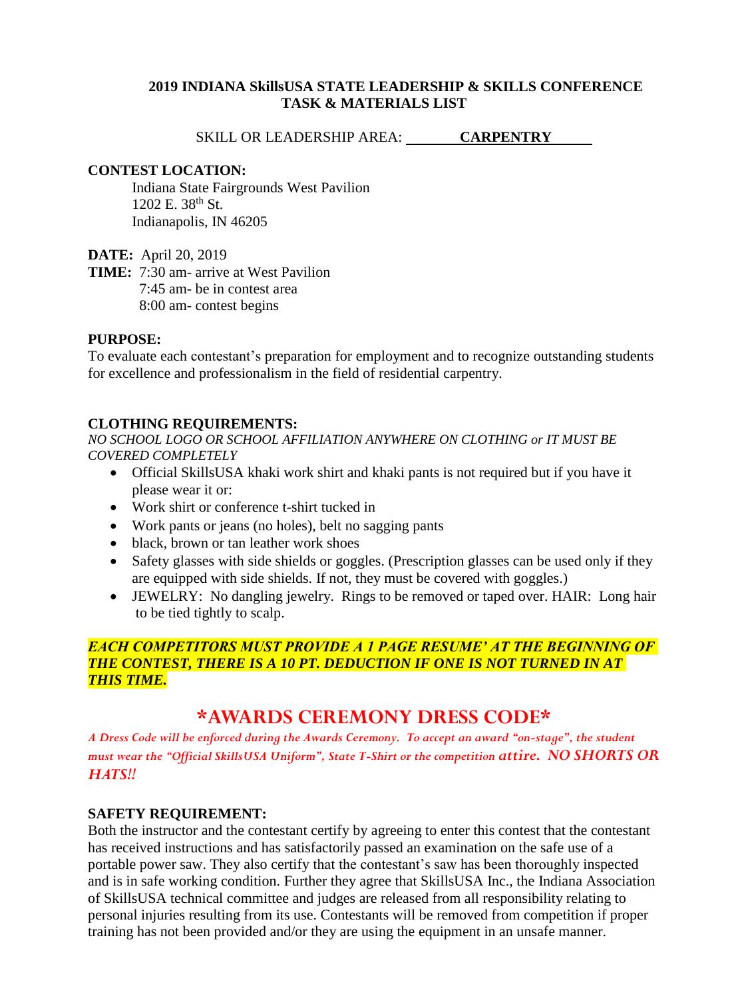#### **2019 INDIANA SkillsUSA STATE LEADERSHIP & SKILLS CONFERENCE TASK & MATERIALS LIST**

SKILL OR LEADERSHIP AREA: **CARPENTRY** 

#### **CONTEST LOCATION:**

Indiana State Fairgrounds West Pavilion  $1202$  E.  $38^{th}$  St. Indianapolis, IN 46205

**DATE:** April 20, 2019

**TIME:** 7:30 am- arrive at West Pavilion 7:45 am- be in contest area 8:00 am- contest begins

#### **PURPOSE:**

To evaluate each contestant's preparation for employment and to recognize outstanding students for excellence and professionalism in the field of residential carpentry.

# **CLOTHING REQUIREMENTS:**

*NO SCHOOL LOGO OR SCHOOL AFFILIATION ANYWHERE ON CLOTHING or IT MUST BE COVERED COMPLETELY*

- Official SkillsUSA khaki work shirt and khaki pants is not required but if you have it please wear it or:
- Work shirt or conference t-shirt tucked in
- Work pants or jeans (no holes), belt no sagging pants
- black, brown or tan leather work shoes
- Safety glasses with side shields or goggles. (Prescription glasses can be used only if they are equipped with side shields. If not, they must be covered with goggles.)
- JEWELRY: No dangling jewelry. Rings to be removed or taped over. HAIR: Long hair to be tied tightly to scalp.

# *EACH COMPETITORS MUST PROVIDE A 1 PAGE RESUME' AT THE BEGINNING OF THE CONTEST, THERE IS A 10 PT. DEDUCTION IF ONE IS NOT TURNED IN AT THIS TIME.*

# **\*AWARDS CEREMONY DRESS CODE\***

*A Dress Code will be enforced during the Awards Ceremony. To accept an award "on-stage", the student must wear the "Official SkillsUSA Uniform", State T-Shirt or the competition attire. NO SHORTS OR HATS!!*

#### **SAFETY REQUIREMENT:**

Both the instructor and the contestant certify by agreeing to enter this contest that the contestant has received instructions and has satisfactorily passed an examination on the safe use of a portable power saw. They also certify that the contestant's saw has been thoroughly inspected and is in safe working condition. Further they agree that SkillsUSA Inc., the Indiana Association of SkillsUSA technical committee and judges are released from all responsibility relating to personal injuries resulting from its use. Contestants will be removed from competition if proper training has not been provided and/or they are using the equipment in an unsafe manner.